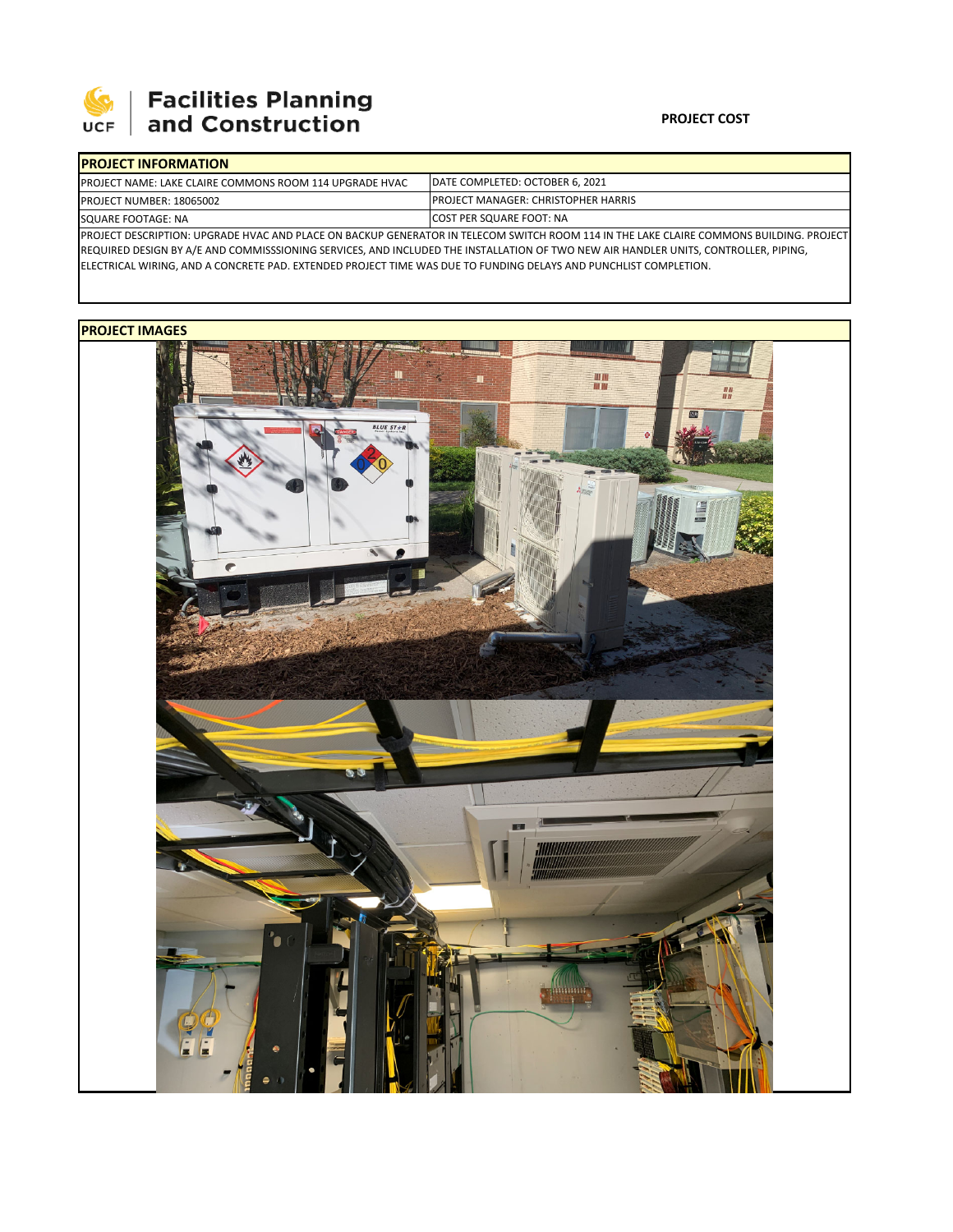

## **SEPTE SECUTE SECULIES Planning**<br>UCF and Construction

## **PROJECT COST**

| <b>IPROJECT INFORMATION</b>                                                                                                              |                                            |  |  |  |  |
|------------------------------------------------------------------------------------------------------------------------------------------|--------------------------------------------|--|--|--|--|
| <b>IPROJECT NAME: LAKE CLAIRE COMMONS ROOM 114 UPGRADE HVAC</b>                                                                          | DATE COMPLETED: OCTOBER 6, 2021            |  |  |  |  |
| <b>PROJECT NUMBER: 18065002</b>                                                                                                          | <b>PROJECT MANAGER: CHRISTOPHER HARRIS</b> |  |  |  |  |
| SQUARE FOOTAGE: NA                                                                                                                       | <b>ICOST PER SQUARE FOOT: NA</b>           |  |  |  |  |
| IPROJECT DESCRIPTION: UPGRADE HVAC AND PLACE ON BACKUP GENERATOR IN TELECOM SWITCH ROOM 114 IN THE LAKE CLAIRE COMMONS BUILDING. PROJECT |                                            |  |  |  |  |

REQUIRED DESIGN BY A/E AND COMMISSSIONING SERVICES, AND INCLUDED THE INSTALLATION OF TWO NEW AIR HANDLER UNITS, CONTROLLER, PIPING, ELECTRICAL WIRING, AND A CONCRETE PAD. EXTENDED PROJECT TIME WAS DUE TO FUNDING DELAYS AND PUNCHLIST COMPLETION.

## **PROJECT IMAGES**